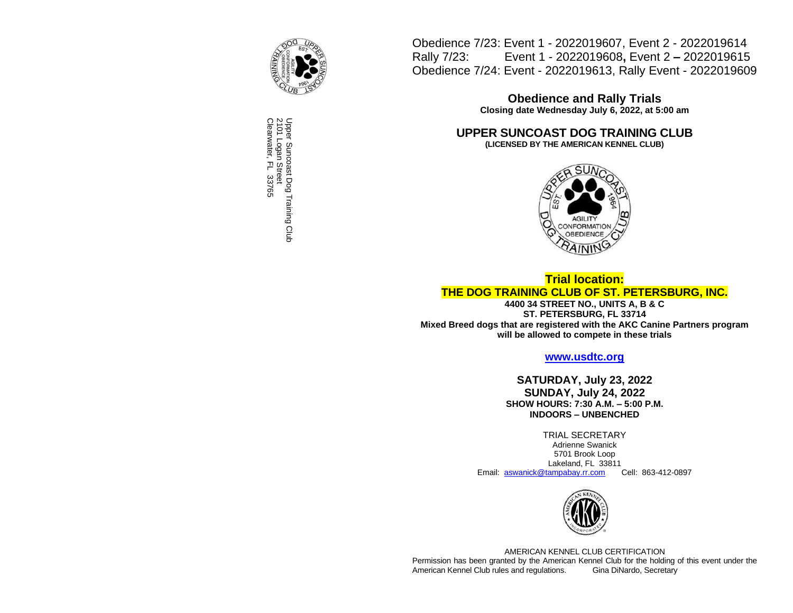

Upper Suncoast Dog Training Club<br>2101 Logan Street<br>Clearwater, FL 33765 Clearwater, FL 337652101 Logan Street Upper Suncoast Dog Training Club

Obedience 7/23: Event 1 - 2022019607, Event 2 - 2022019614 Rally 7/23: Event 1 - 2022019608**,** Event 2 **–** 2022019615 Obedience 7/24: Event - 2022019613, Rally Event - 2022019609

> **Obedience and Rally Trials Closing date Wednesday July 6, 2022, at 5:00 am**

# **UPPER SUNCOAST DOG TRAINING CLUB**

**(LICENSED BY THE AMERICAN KENNEL CLUB)**



**Trial location: THE DOG TRAINING CLUB OF ST. PETERSBURG, INC. 4400 34 STREET NO., UNITS A, B & C ST. PETERSBURG, FL 33714 Mixed Breed dogs that are registered with the AKC Canine Partners program will be allowed to compete in these trials** 

**[www.usdtc.org](http://www.usdtc.org/)**

**SATURDAY, July 23, 2022 SUNDAY, July 24, 2022 SHOW HOURS: 7:30 A.M. – 5:00 P.M. INDOORS – UNBENCHED**

TRIAL SECRETARY Adrienne Swanick 5701 Brook Loop Lakeland, FL 33811 Email: [aswanick@tampabay.rr.com](mailto:aswanick@tampabay.rr.com)



AMERICAN KENNEL CLUB CERTIFICATION Permission has been granted by the American Kennel Club for the holding of this event under the American Kennel Club rules and regulations. Gina DiNardo, Secretary American Kennel Club rules and regulations.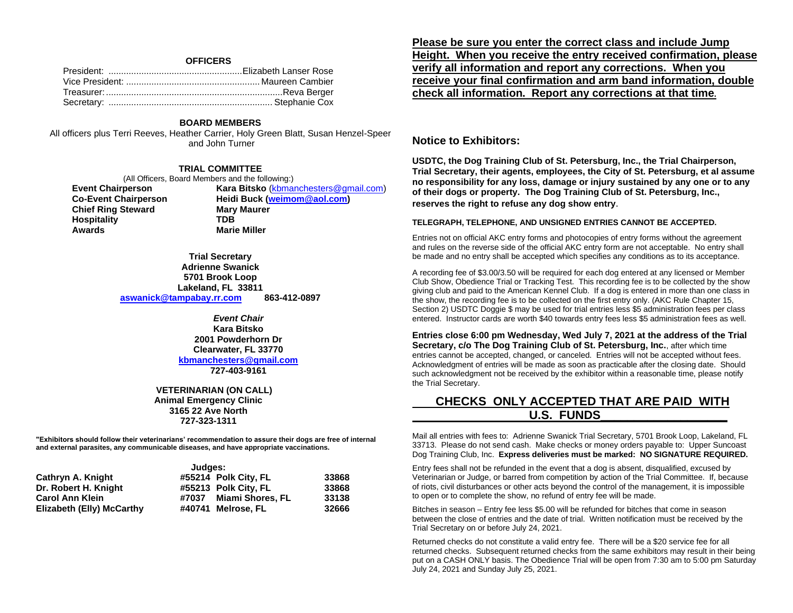#### **OFFICERS**

#### **BOARD MEMBERS**

All officers plus Terri Reeves, Heather Carrier, Holy Green Blatt, Susan Henzel-Speer and John Turner

#### **TRIAL COMMITTEE**

(All Officers, Board Members and the following:)

**Chief Ring Steward Mary Maurer Hospitality TDB Awards Marie Miller**

**Event Chairperson Kara Bitsko** [\(kbmanchesters@gmail.com\)](mailto:kbmanchesters@gmail.com) **Co-Event Chairperson Heidi Buck [\(weimom@aol.com\)](mailto:weimom@aol.com)** 

> **Trial Secretary Adrienne Swanick 5701 Brook Loop Lakeland, FL 33811 [aswanick@tampabay.rr.com](mailto:aswanick@tampabay.rr.com) 863-412-0897**

> > *Event Chair* **Kara Bitsko 2001 Powderhorn Dr Clearwater, FL 33770 [kbmanchesters@gmail.com](mailto:kbmanchesters@gmail.com) 727-403-9161**

 **VETERINARIAN (ON CALL) Animal Emergency Clinic 3165 22 Ave North 727-323-1311**

**"Exhibitors should follow their veterinarians' recommendation to assure their dogs are free of internal and external parasites, any communicable diseases, and have appropriate vaccinations.** 

| Judges:                   |                    |                        |       |
|---------------------------|--------------------|------------------------|-------|
| Cathryn A. Knight         |                    | #55214 Polk City, FL   | 33868 |
| Dr. Robert H. Knight      |                    | #55213 Polk City, FL   | 33868 |
| <b>Carol Ann Klein</b>    |                    | #7037 Miami Shores. FL | 33138 |
| Elizabeth (Elly) McCarthy | #40741 Melrose, FL |                        | 32666 |

**Please be sure you enter the correct class and include Jump Height. When you receive the entry received confirmation, please verify all information and report any corrections. When you receive your final confirmation and arm band information, double check all information. Report any corrections at that time.**

## **Notice to Exhibitors:**

**USDTC, the Dog Training Club of St. Petersburg, Inc., the Trial Chairperson, Trial Secretary, their agents, employees, the City of St. Petersburg, et al assume no responsibility for any loss, damage or injury sustained by any one or to any of their dogs or property. The Dog Training Club of St. Petersburg, Inc., reserves the right to refuse any dog show entry**.

#### **TELEGRAPH, TELEPHONE, AND UNSIGNED ENTRIES CANNOT BE ACCEPTED.**

Entries not on official AKC entry forms and photocopies of entry forms without the agreement and rules on the reverse side of the official AKC entry form are not acceptable. No entry shall be made and no entry shall be accepted which specifies any conditions as to its acceptance.

A recording fee of \$3.00/3.50 will be required for each dog entered at any licensed or Member Club Show, Obedience Trial or Tracking Test. This recording fee is to be collected by the show giving club and paid to the American Kennel Club. If a dog is entered in more than one class in the show, the recording fee is to be collected on the first entry only. (AKC Rule Chapter 15, Section 2) USDTC Doggie \$ may be used for trial entries less \$5 administration fees per class entered. Instructor cards are worth \$40 towards entry fees less \$5 administration fees as well.

**Entries close 6:00 pm Wednesday, Wed July 7, 2021 at the address of the Trial Secretary, c/o The Dog Training Club of St. Petersburg, Inc.**, after which time entries cannot be accepted, changed, or canceled. Entries will not be accepted without fees. Acknowledgment of entries will be made as soon as practicable after the closing date. Should such acknowledgment not be received by the exhibitor within a reasonable time, please notify the Trial Secretary.

## **CHECKS ONLY ACCEPTED THAT ARE PAID WITH U.S. FUNDS**

Mail all entries with fees to: Adrienne Swanick Trial Secretary, 5701 Brook Loop, Lakeland, FL 33713. Please do not send cash. Make checks or money orders payable to: Upper Suncoast Dog Training Club, Inc. **Express deliveries must be marked: NO SIGNATURE REQUIRED.**

Entry fees shall not be refunded in the event that a dog is absent, disqualified, excused by Veterinarian or Judge, or barred from competition by action of the Trial Committee. If, because of riots, civil disturbances or other acts beyond the control of the management, it is impossible to open or to complete the show, no refund of entry fee will be made.

Bitches in season – Entry fee less \$5.00 will be refunded for bitches that come in season between the close of entries and the date of trial. Written notification must be received by the Trial Secretary on or before July 24, 2021.

Returned checks do not constitute a valid entry fee. There will be a \$20 service fee for all returned checks. Subsequent returned checks from the same exhibitors may result in their being put on a CASH ONLY basis. The Obedience Trial will be open from 7:30 am to 5:00 pm Saturday July 24, 2021 and Sunday July 25, 2021.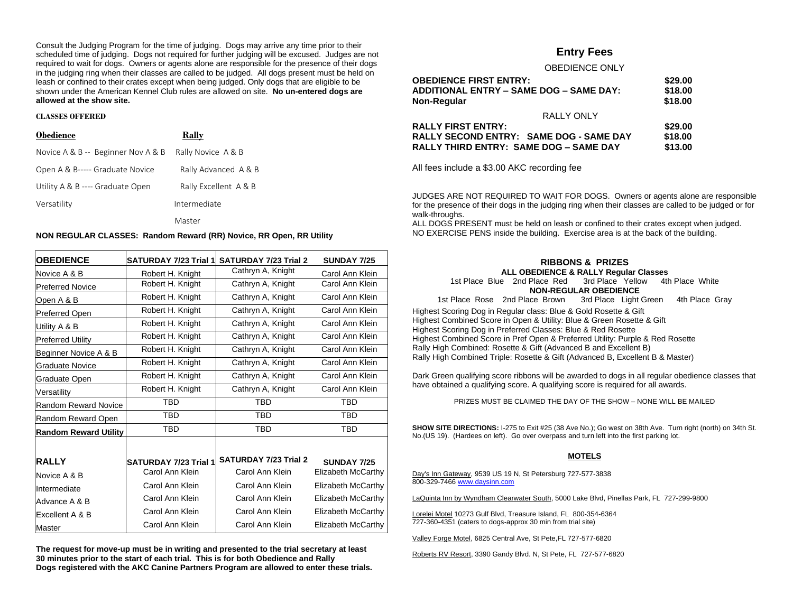Consult the Judging Program for the time of judging. Dogs may arrive any time prior to their scheduled time of judging. Dogs not required for further judging will be excused. Judges are not required to wait for dogs. Owners or agents alone are responsible for the presence of their dogs in the judging ring when their classes are called to be judged. All dogs present must be held on leash or confined to their crates except when being judged. Only dogs that are eligible to be shown under the American Kennel Club rules are allowed on site. **No un-entered dogs are allowed at the show site.**

#### **CLASSES OFFERED**

**Obedience** 

|--|

| Novice A & B -- Beginner Nov A & B | Rally Novice A & B    |
|------------------------------------|-----------------------|
| Open A & B----- Graduate Novice    | Rally Advanced A & B  |
| Utility A & B ---- Graduate Open   | Rally Excellent A & B |
| Versatility                        | Intermediate          |

Master

#### **NON REGULAR CLASSES: Random Reward (RR) Novice, RR Open, RR Utility**

| <b>OBEDIENCE</b>             | SATURDAY 7/23 Trial 1 | <b>SATURDAY 7/23 Trial 2</b> | <b>SUNDAY 7/25</b> |
|------------------------------|-----------------------|------------------------------|--------------------|
| Novice A & B                 | Robert H. Knight      | Cathryn A, Knight            | Carol Ann Klein    |
| <b>Preferred Novice</b>      | Robert H. Knight      | Cathryn A, Knight            | Carol Ann Klein    |
| Open A & B                   | Robert H. Knight      | Cathryn A, Knight            | Carol Ann Klein    |
| Preferred Open               | Robert H. Knight      | Cathryn A, Knight            | Carol Ann Klein    |
| Utility A & B                | Robert H. Knight      | Cathryn A, Knight            | Carol Ann Klein    |
| Preferred Utility            | Robert H. Knight      | Cathryn A, Knight            | Carol Ann Klein    |
| Beginner Novice A & B        | Robert H. Knight      | Cathryn A, Knight            | Carol Ann Klein    |
| Graduate Novice              | Robert H. Knight      | Cathryn A, Knight            | Carol Ann Klein    |
| Graduate Open                | Robert H. Knight      | Cathryn A, Knight            | Carol Ann Klein    |
| Versatility                  | Robert H. Knight      | Cathryn A, Knight            | Carol Ann Klein    |
| <b>Random Reward Novice</b>  | TBD                   | <b>TBD</b>                   | <b>TBD</b>         |
| Random Reward Open           | TBD                   | <b>TBD</b>                   | <b>TBD</b>         |
| <b>Random Reward Utility</b> | TBD                   | TBD                          | <b>TBD</b>         |
|                              |                       |                              |                    |
| <b>RALLY</b>                 | SATURDAY 7/23 Trial 1 | <b>SATURDAY 7/23 Trial 2</b> | <b>SUNDAY 7/25</b> |
| Novice A & B                 | Carol Ann Klein       | Carol Ann Klein              | Elizabeth McCarthy |
| Intermediate                 | Carol Ann Klein       | Carol Ann Klein              | Elizabeth McCarthy |
| Advance A & B                | Carol Ann Klein       | Carol Ann Klein              | Elizabeth McCarthy |
| Excellent A & B              | Carol Ann Klein       | Carol Ann Klein              | Elizabeth McCarthy |
| <b>Master</b>                | Carol Ann Klein       | Carol Ann Klein              | Elizabeth McCarthy |

**The request for move-up must be in writing and presented to the trial secretary at least 30 minutes prior to the start of each trial. This is for both Obedience and Rally Dogs registered with the AKC Canine Partners Program are allowed to enter these trials.**

## **Entry Fees**

OBEDIENCE ONLY

| <b>OBEDIENCE FIRST ENTRY:</b><br>ADDITIONAL ENTRY – SAME DOG – SAME DAY:<br>Non-Reqular | \$29.00<br>\$18.00<br>\$18.00 |
|-----------------------------------------------------------------------------------------|-------------------------------|
| <b>RALLY ONLY</b>                                                                       |                               |
| RALLY FIRST ENTRY:                                                                      | \$29.00                       |
| RALLY SECOND ENTRY: SAME DOG - SAME DAY                                                 | \$18.00                       |
| RALLY THIRD ENTRY:  SAME DOG – SAME DAY                                                 | \$13.00                       |
|                                                                                         |                               |

All fees include a \$3.00 AKC recording fee

JUDGES ARE NOT REQUIRED TO WAIT FOR DOGS. Owners or agents alone are responsible for the presence of their dogs in the judging ring when their classes are called to be judged or for walk-throughs.

ALL DOGS PRESENT must be held on leash or confined to their crates except when judged. NO EXERCISE PENS inside the building. Exercise area is at the back of the building.

| <b>RIBBONS &amp; PRIZES</b>                                                                                                                                                                                                                                                                                                                                                                                                                     |  |  |  |
|-------------------------------------------------------------------------------------------------------------------------------------------------------------------------------------------------------------------------------------------------------------------------------------------------------------------------------------------------------------------------------------------------------------------------------------------------|--|--|--|
| <b>ALL OBEDIENCE &amp; RALLY Regular Classes</b>                                                                                                                                                                                                                                                                                                                                                                                                |  |  |  |
| 1st Place Blue 2nd Place Red 3rd Place Yellow 4th Place White                                                                                                                                                                                                                                                                                                                                                                                   |  |  |  |
| <b>NON-REGULAR OBEDIENCE</b>                                                                                                                                                                                                                                                                                                                                                                                                                    |  |  |  |
| 1st Place Rose 2nd Place Brown 3rd Place Light Green<br>4th Place Gray                                                                                                                                                                                                                                                                                                                                                                          |  |  |  |
| Highest Scoring Dog in Regular class: Blue & Gold Rosette & Gift<br>Highest Combined Score in Open & Utility: Blue & Green Rosette & Gift<br>Highest Scoring Dog in Preferred Classes: Blue & Red Rosette<br>Highest Combined Score in Pref Open & Preferred Utility: Purple & Red Rosette<br>Rally High Combined: Rosette & Gift (Advanced B and Excellent B)<br>Rally High Combined Triple: Rosette & Gift (Advanced B, Excellent B & Master) |  |  |  |

Dark Green qualifying score ribbons will be awarded to dogs in all regular obedience classes that have obtained a qualifying score. A qualifying score is required for all awards.

PRIZES MUST BE CLAIMED THE DAY OF THE SHOW – NONE WILL BE MAILED

**SHOW SITE DIRECTIONS:** I-275 to Exit #25 (38 Ave No.); Go west on 38th Ave. Turn right (north) on 34th St. No.(US 19). (Hardees on left). Go over overpass and turn left into the first parking lot.

#### **MOTELS**

Day's Inn Gateway, 9539 US 19 N, St Petersburg 727-577-3838 800-329-746[6 www.daysinn.com](http://www.daysinn.com/)

LaQuinta Inn by Wyndham Clearwater South, 5000 Lake Blvd, Pinellas Park, FL 727-299-9800

Lorelei Motel 10273 Gulf Blvd, Treasure Island, FL 800-354-6364 727-360-4351 (caters to dogs-approx 30 min from trial site)

Valley Forge Motel, 6825 Central Ave, St Pete,FL 727-577-6820

Roberts RV Resort, 3390 Gandy Blvd. N, St Pete, FL 727-577-6820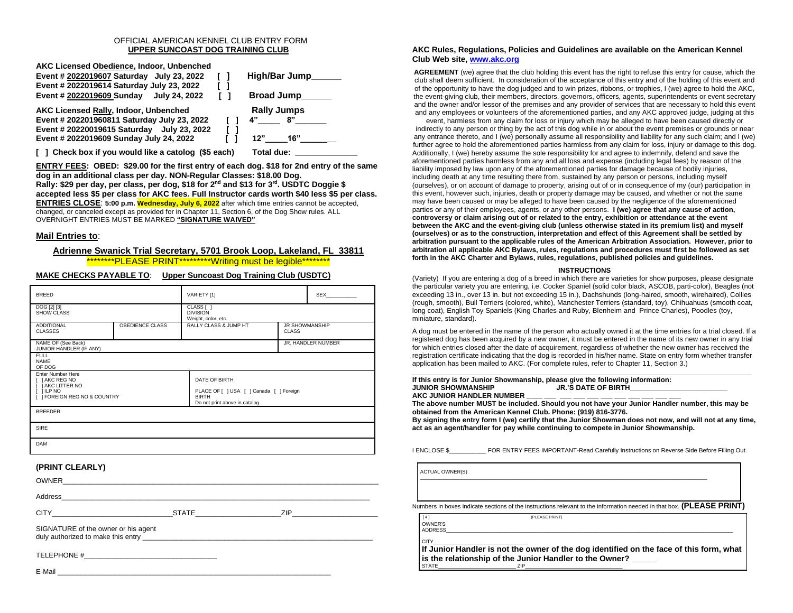#### OFFICIAL AMERICAN KENNEL CLUB ENTRY FORM **UPPER SUNCOAST DOG TRAINING CLUB**

| AKC Licensed Obedience, Indoor, Unbenched   |     |                     |
|---------------------------------------------|-----|---------------------|
| Event # 2022019607 Saturday July 23, 2022   | ГI  | High/Bar Jump______ |
| Event # 2022019614 Saturday July 23, 2022   | r 1 |                     |
| Event # 2022019609 Sunday July 24, 2022     | r 1 | Broad Jump          |
| AKC Licensed Rally, Indoor, Unbenched       |     | <b>Rally Jumps</b>  |
| Event # 202201960811 Saturday July 23, 2022 |     | 8"<br>4"            |
| Event # 20220019615 Saturday July 23, 2022  |     |                     |
| Event # 2022019609 Sunday July 24, 2022     |     | 12"<br>16"          |
|                                             |     |                     |

**[ ] Check box if you would like a catolog (\$5 each) Total due: \_\_\_\_\_\_\_\_\_\_\_\_\_\_**

**ENTRY FEES: OBED: \$29.00 for the first entry of each dog. \$18 for 2nd entry of the same dog in an additional class per day. NON-Regular Classes: \$18.00 Dog. Rally: \$29 per day, per class, per dog, \$18 for 2nd and \$13 for 3rd . USDTC Doggie \$ accepted less \$5 per class for AKC fees. Full Instructor cards worth \$40 less \$5 per class. ENTRIES CLOSE**: **5:00 p.m. Wednesday, July 6, 2022** after which time entries cannot be accepted, changed, or canceled except as provided for in Chapter 11, Section 6, of the Dog Show rules. ALL OVERNIGHT ENTRIES MUST BE MARKED **"SIGNATURE WAIVED"**

#### **Mail Entries to**:

#### **Adrienne Swanick Trial Secretary, 5701 Brook Loop, Lakeland, FL 33811** \*\*\*\*\*\*\*\*PLEASE PRINT\*\*\*\*\*\*\*\*\*Writing must be legible\*\*\*\*\*\*\*\*

#### **MAKE CHECKS PAYABLE TO**: **Upper Suncoast Dog Training Club (USDTC)**

| <b>BREED</b>                                                                                                     |                        | VARIETY [1]                                                    |                                         |                       |  |
|------------------------------------------------------------------------------------------------------------------|------------------------|----------------------------------------------------------------|-----------------------------------------|-----------------------|--|
| DOG [2] [3]<br><b>SHOW CLASS</b>                                                                                 |                        | CLASS [ ]<br><b>DIVISION</b><br>Weight, color, etc.            |                                         |                       |  |
| <b>ADDITIONAL</b><br><b>CLASSES</b>                                                                              | <b>OBEDIENCE CLASS</b> | RALLY CLASS & JUMP HT                                          | <b>CLASS</b>                            | <b>JR SHOWMANSHIP</b> |  |
| NAME OF (See Back)<br>JUNIOR HANDLER (IF ANY)                                                                    |                        |                                                                | JR. HANDLER NUMBER                      |                       |  |
| <b>FULL</b><br><b>NAME</b><br>OF DOG                                                                             |                        |                                                                |                                         |                       |  |
| Enter Number Here<br>I AKC REG NO<br>J AKC LITTER NO<br><b>I ILP NO</b><br><b>J FOREIGN REG NO &amp; COUNTRY</b> |                        | DATE OF BIRTH<br><b>BIRTH</b><br>Do not print above in catalog | PLACE OF [   USA     Canada     Foreign |                       |  |
| <b>BREEDER</b>                                                                                                   |                        |                                                                |                                         |                       |  |
| SIRE                                                                                                             |                        |                                                                |                                         |                       |  |
| <b>DAM</b>                                                                                                       |                        |                                                                |                                         |                       |  |

#### **(PRINT CLEARLY)**

| SIGNATURE of the owner or his agent |  |
|-------------------------------------|--|
|                                     |  |
| E-Mail ____________________________ |  |

#### **AKC Rules, Regulations, Policies and Guidelines are available on the American Kennel Club Web site, [www.akc.org](http://www.akc.org/)**

**AGREEMENT** (we) agree that the club holding this event has the right to refuse this entry for cause, which the club shall deem sufficient. In consideration of the acceptance of this entry and of the holding of this event and of the opportunity to have the dog judged and to win prizes, ribbons, or trophies, I (we) agree to hold the AKC, the event-giving club, their members, directors, governors, officers, agents, superintendents or event secretary and the owner and/or lessor of the premises and any provider of services that are necessary to hold this event and any employees or volunteers of the aforementioned parties, and any AKC approved judge, judging at this

event, harmless from any claim for loss or injury which may be alleged to have been caused directly or indirectly to any person or thing by the act of this dog while in or about the event premises or grounds or near any entrance thereto, and I (we) personally assume all responsibility and liability for any such claim; and I (we) further agree to hold the aforementioned parties harmless from any claim for loss, injury or damage to this dog. Additionally, I (we) hereby assume the sole responsibility for and agree to indemnify, defend and save the aforementioned parties harmless from any and all loss and expense (including legal fees) by reason of the liability imposed by law upon any of the aforementioned parties for damage because of bodily injuries, including death at any time resulting there from, sustained by any person or persons, including myself (ourselves), or on account of damage to property, arising out of or in consequence of my (our) participation in this event, however such, injuries, death or property damage may be caused, and whether or not the same may have been caused or may be alleged to have been caused by the negligence of the aforementioned parties or any of their employees, agents, or any other persons. **I (we) agree that any cause of action, controversy or claim arising out of or related to the entry, exhibition or attendance at the event between the AKC and the event-giving club (unless otherwise stated in its premium list) and myself (ourselves) or as to the construction, interpretation and effect of this Agreement shall be settled by arbitration pursuant to the applicable rules of the American Arbitration Association. However, prior to arbitration all applicable AKC Bylaws, rules, regulations and procedures must first be followed as set forth in the AKC Charter and Bylaws, rules, regulations, published policies and guidelines.**

#### **INSTRUCTIONS**

(Variety) If you are entering a dog of a breed in which there are varieties for show purposes, please designate the particular variety you are entering, i.e. Cocker Spaniel (solid color black, ASCOB, parti-color), Beagles (not exceeding 13 in., over 13 in. but not exceeding 15 in.), Dachshunds (long-haired, smooth, wirehaired), Collies (rough, smooth), Bull Terriers (colored, white), Manchester Terriers (standard, toy), Chihuahuas (smooth coat, long coat), English Toy Spaniels (King Charles and Ruby, Blenheim and Prince Charles), Poodles (toy, miniature, standard).

A dog must be entered in the name of the person who actually owned it at the time entries for a trial closed. If a registered dog has been acquired by a new owner, it must be entered in the name of its new owner in any trial for which entries closed after the date of acquirement, regardless of whether the new owner has received the registration certificate indicating that the dog is recorded in his/her name. State on entry form whether transfer application has been mailed to AKC. (For complete rules, refer to Chapter 11, Section 3.)

| <b>JUNIOR SHOWMANSHIP</b> | If this entry is for Junior Showmanship, please give the following information:<br><b>JR.'S DATE OF BIRTH</b>                                                                                  |
|---------------------------|------------------------------------------------------------------------------------------------------------------------------------------------------------------------------------------------|
|                           | obtained from the American Kennel Club. Phone: (919) 816-3776.                                                                                                                                 |
|                           | By signing the entry form I (we) certify that the Junior Showman does not now, and will not at any time,<br>act as an agent/handler for pay while continuing to compete in Junior Showmanship. |
|                           | I ENCLOSE \$______________ FOR ENTRY FEES IMPORTANT-Read Carefully Instructions on Reverse Side Before Filling Out.                                                                            |
| <b>ACTUAL OWNER(S)</b>    |                                                                                                                                                                                                |
|                           |                                                                                                                                                                                                |
|                           | Numbers in boxes indicate sections of the instructions relevant to the information needed in that box. (PLEASE PRINT)                                                                          |
| [4]                       | (PLEASE PRINT)                                                                                                                                                                                 |
| OWNER'S                   | ADDRESS AND ARRAIGNMENT CONTINUES.                                                                                                                                                             |
| <b>CITY</b>               |                                                                                                                                                                                                |

**If Junior Handler is not the owner of the dog identified on the face of this form, what is the relationship of the Junior Handler to the Owner?** STATE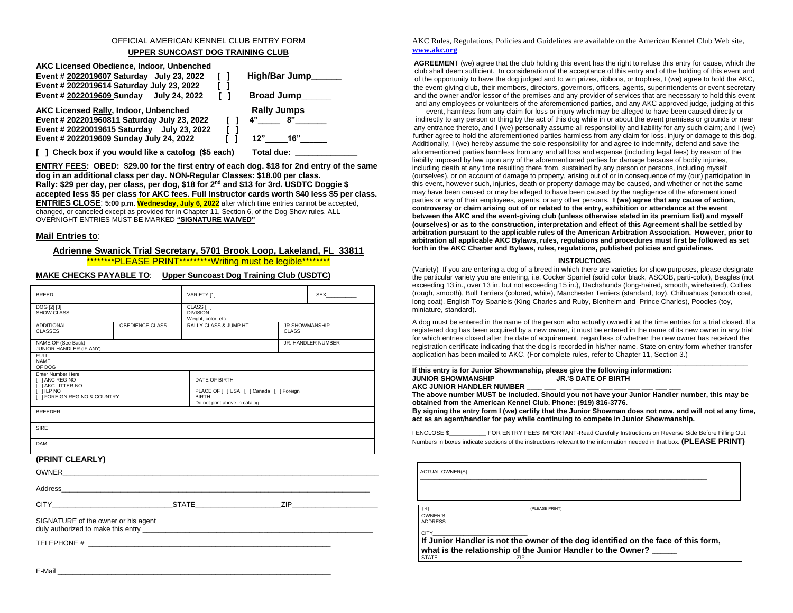#### OFFICIAL AMERICAN KENNEL CLUB ENTRY FORM **UPPER SUNCOAST DOG TRAINING CLUB**

| AKC Licensed Obedience, Indoor, Unbenched   |     |                             |
|---------------------------------------------|-----|-----------------------------|
| Event # 2022019607 Saturday July 23, 2022   | ГI  | High/Bar Jump______         |
| Event # 2022019614 Saturday July 23, 2022   |     |                             |
| Event # 2022019609 Sunday July 24, 2022     | f 1 | Broad Jump <sub>_____</sub> |
| AKC Licensed Rally, Indoor, Unbenched       |     | <b>Rally Jumps</b>          |
| Event # 202201960811 Saturday July 23, 2022 |     | 8"<br>4"                    |
| Event # 20220019615 Saturday July 23, 2022  |     |                             |
| Event # 2022019609 Sunday July 24, 2022     |     | 12"<br>16"                  |

**[ ] Check box if you would like a catolog (\$5 each) Total due: \_\_\_\_\_\_\_\_\_\_\_\_\_\_**

**ENTRY FEES: OBED: \$29.00 for the first entry of each dog. \$18 for 2nd entry of the same dog in an additional class per day. NON-Regular Classes: \$18.00 per class. Rally: \$29 per day, per class, per dog, \$18 for 2nd and \$13 for 3rd. USDTC Doggie \$ accepted less \$5 per class for AKC fees. Full Instructor cards worth \$40 less \$5 per class. ENTRIES CLOSE**: **5:00 p.m. Wednesday, July 6, 2022** after which time entries cannot be accepted, changed, or canceled except as provided for in Chapter 11, Section 6, of the Dog Show rules. ALL OVERNIGHT ENTRIES MUST BE MARKED **"SIGNATURE WAIVED"**

#### **Mail Entries to**:

#### **Adrienne Swanick Trial Secretary, 5701 Brook Loop, Lakeland, FL 33811** \*\*\*\*\*\*\*\*PLEASE PRINT\*\*\*\*\*\*\*\*\*Writing must be legible\*\*\*\*\*\*\*\*

**MAKE CHECKS PAYABLE TO**: **Upper Suncoast Dog Training Club (USDTC)**

| <b>BREED</b>                                                                                         |                        | VARIETY [1]                                         |                                                                          | <b>SEX SEX</b>        |  |
|------------------------------------------------------------------------------------------------------|------------------------|-----------------------------------------------------|--------------------------------------------------------------------------|-----------------------|--|
| DOG [2] [3]<br>SHOW CLASS                                                                            |                        | CLASS [ ]<br><b>DIVISION</b><br>Weight, color, etc. |                                                                          |                       |  |
| <b>ADDITIONAL</b><br><b>CLASSES</b>                                                                  | <b>OBEDIENCE CLASS</b> | RALLY CLASS & JUMP HT                               | <b>CLASS</b>                                                             | <b>JR SHOWMANSHIP</b> |  |
| NAME OF (See Back)<br>JUNIOR HANDLER (IF ANY)                                                        |                        |                                                     |                                                                          | JR. HANDLER NUMBER    |  |
| <b>FULL</b><br><b>NAME</b><br>OF DOG                                                                 |                        |                                                     |                                                                          |                       |  |
| Enter Number Here<br>[ ] AKC REG NO<br>[ ] AKC LITTER NO<br>I ILP NO<br>I I FOREIGN REG NO & COUNTRY |                        | DATE OF BIRTH                                       |                                                                          |                       |  |
|                                                                                                      |                        | <b>BIRTH</b>                                        | PLACE OF [   USA     Canada     Foreign<br>Do not print above in catalog |                       |  |
| <b>BREEDER</b>                                                                                       |                        |                                                     |                                                                          |                       |  |
| SIRE                                                                                                 |                        |                                                     |                                                                          |                       |  |
| <b>DAM</b>                                                                                           |                        |                                                     |                                                                          |                       |  |
| (PRINT CLEARLY)                                                                                      |                        |                                                     |                                                                          |                       |  |
|                                                                                                      |                        |                                                     |                                                                          |                       |  |
|                                                                                                      |                        |                                                     |                                                                          |                       |  |
|                                                                                                      |                        |                                                     |                                                                          |                       |  |
| SIGNATURE of the owner or his agent                                                                  |                        |                                                     |                                                                          |                       |  |
|                                                                                                      |                        |                                                     |                                                                          |                       |  |

AKC Rules, Regulations, Policies and Guidelines are available on the American Kennel Club Web site, **[www.akc.org](http://www.akc.org/)**

**AGREEMEN**T (we) agree that the club holding this event has the right to refuse this entry for cause, which the club shall deem sufficient. In consideration of the acceptance of this entry and of the holding of this event and of the opportunity to have the dog judged and to win prizes, ribbons, or trophies, I (we) agree to hold the AKC, the event-giving club, their members, directors, governors, officers, agents, superintendents or event secretary and the owner and/or lessor of the premises and any provider of services that are necessary to hold this event and any employees or volunteers of the aforementioned parties, and any AKC approved judge, judging at this

event, harmless from any claim for loss or injury which may be alleged to have been caused directly or indirectly to any person or thing by the act of this dog while in or about the event premises or grounds or near any entrance thereto, and I (we) personally assume all responsibility and liability for any such claim; and I (we) further agree to hold the aforementioned parties harmless from any claim for loss, injury or damage to this dog. Additionally, I (we) hereby assume the sole responsibility for and agree to indemnify, defend and save the aforementioned parties harmless from any and all loss and expense (including legal fees) by reason of the liability imposed by law upon any of the aforementioned parties for damage because of bodily injuries, including death at any time resulting there from, sustained by any person or persons, including myself (ourselves), or on account of damage to property, arising out of or in consequence of my (our) participation in this event, however such, injuries, death or property damage may be caused, and whether or not the same may have been caused or may be alleged to have been caused by the negligence of the aforementioned parties or any of their employees, agents, or any other persons. **I (we) agree that any cause of action, controversy or claim arising out of or related to the entry, exhibition or attendance at the event between the AKC and the event-giving club (unless otherwise stated in its premium list) and myself (ourselves) or as to the construction, interpretation and effect of this Agreement shall be settled by arbitration pursuant to the applicable rules of the American Arbitration Association. However, prior to arbitration all applicable AKC Bylaws, rules, regulations and procedures must first be followed as set forth in the AKC Charter and Bylaws, rules, regulations, published policies and guidelines.**

#### **INSTRUCTIONS**

(Variety) If you are entering a dog of a breed in which there are varieties for show purposes, please designate the particular variety you are entering, i.e. Cocker Spaniel (solid color black, ASCOB, parti-color), Beagles (not exceeding 13 in., over 13 in. but not exceeding 15 in.), Dachshunds (long-haired, smooth, wirehaired), Collies (rough, smooth), Bull Terriers (colored, white), Manchester Terriers (standard, toy), Chihuahuas (smooth coat, long coat), English Toy Spaniels (King Charles and Ruby, Blenheim and Prince Charles), Poodles (toy, miniature, standard).

A dog must be entered in the name of the person who actually owned it at the time entries for a trial closed. If a registered dog has been acquired by a new owner, it must be entered in the name of its new owner in any trial for which entries closed after the date of acquirement, regardless of whether the new owner has received the registration certificate indicating that the dog is recorded in his/her name. State on entry form whether transfer application has been mailed to AKC. (For complete rules, refer to Chapter 11, Section 3.)

| If this entry is for Junior Showmanship, please give the following information: |                                                                                                          |  |  |
|---------------------------------------------------------------------------------|----------------------------------------------------------------------------------------------------------|--|--|
|                                                                                 | <b>JUNIOR SHOWMANSHIP</b><br><b>JR.'S DATE OF BIRTH</b>                                                  |  |  |
|                                                                                 | AKC JUNIOR HANDLER NUMBER                                                                                |  |  |
|                                                                                 | The above number MUST be included. Should you not have your Junior Handler number, this may be           |  |  |
|                                                                                 | obtained from the American Kennel Club. Phone: (919) 816-3776.                                           |  |  |
|                                                                                 | By signing the entry form I (we) certify that the Junior Showman does not now, and will not at any time, |  |  |
|                                                                                 | act as an agent/handler for pay while continuing to compete in Junior Showmanship.                       |  |  |

\_\_\_\_\_\_\_\_\_\_\_\_\_\_\_\_\_\_\_\_\_\_\_\_\_\_\_\_\_\_\_\_\_\_\_\_\_\_\_\_\_\_\_\_\_\_\_\_\_\_\_\_\_\_\_\_\_\_\_\_\_\_\_\_\_\_\_\_\_\_\_\_\_\_\_\_\_\_\_\_\_\_\_\_\_\_

I ENCLOSE \$ FOR ENTRY FEES IMPORTANT-Read Carefully Instructions on Reverse Side Before Filling Out. Numbers in boxes indicate sections of the instructions relevant to the information needed in that box. **(PLEASE PRINT)**

| <b>ACTUAL OWNER(S)</b>           |                                                                                                                                                           |  |
|----------------------------------|-----------------------------------------------------------------------------------------------------------------------------------------------------------|--|
|                                  |                                                                                                                                                           |  |
| [4]<br>OWNER'S<br><b>ADDRESS</b> | (PLEASE PRINT)                                                                                                                                            |  |
| <b>CITY</b><br><b>STATE</b>      | If Junior Handler is not the owner of the dog identified on the face of this form,<br>what is the relationship of the Junior Handler to the Owner?<br>ZIP |  |